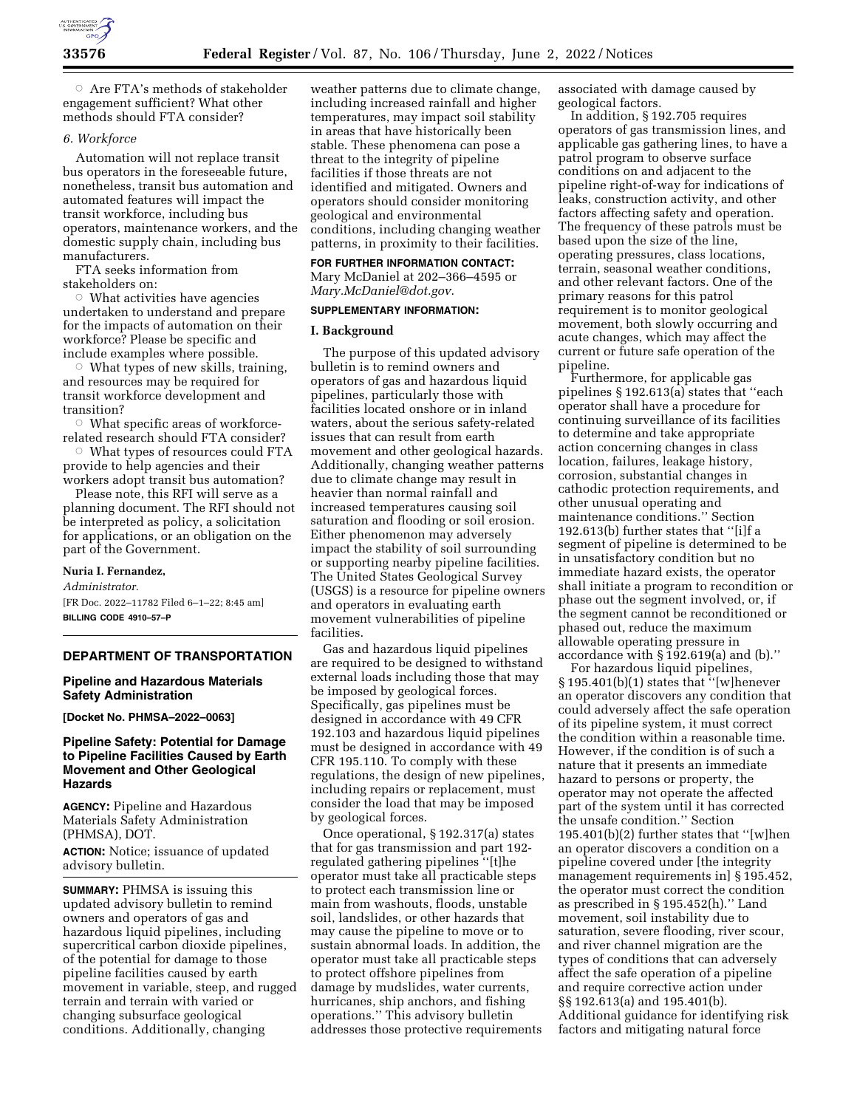

 $\circ$  Are FTA's methods of stakeholder engagement sufficient? What other methods should FTA consider?

#### *6. Workforce*

Automation will not replace transit bus operators in the foreseeable future, nonetheless, transit bus automation and automated features will impact the transit workforce, including bus operators, maintenance workers, and the domestic supply chain, including bus manufacturers.

FTA seeks information from stakeholders on:

 $\circ$  What activities have agencies undertaken to understand and prepare for the impacts of automation on their workforce? Please be specific and include examples where possible.

 $\circ$  What types of new skills, training, and resources may be required for transit workforce development and transition?

 $\circ$  What specific areas of workforcerelated research should FTA consider?

Æ What types of resources could FTA provide to help agencies and their workers adopt transit bus automation?

Please note, this RFI will serve as a planning document. The RFI should not be interpreted as policy, a solicitation for applications, or an obligation on the part of the Government.

#### **Nuria I. Fernandez,**

*Administrator.*  [FR Doc. 2022–11782 Filed 6–1–22; 8:45 am] **BILLING CODE 4910–57–P** 

#### **DEPARTMENT OF TRANSPORTATION**

## **Pipeline and Hazardous Materials Safety Administration**

**[Docket No. PHMSA–2022–0063]** 

## **Pipeline Safety: Potential for Damage to Pipeline Facilities Caused by Earth Movement and Other Geological Hazards**

**AGENCY:** Pipeline and Hazardous Materials Safety Administration (PHMSA), DOT.

**ACTION:** Notice; issuance of updated advisory bulletin.

**SUMMARY:** PHMSA is issuing this updated advisory bulletin to remind owners and operators of gas and hazardous liquid pipelines, including supercritical carbon dioxide pipelines, of the potential for damage to those pipeline facilities caused by earth movement in variable, steep, and rugged terrain and terrain with varied or changing subsurface geological conditions. Additionally, changing

weather patterns due to climate change, including increased rainfall and higher temperatures, may impact soil stability in areas that have historically been stable. These phenomena can pose a threat to the integrity of pipeline facilities if those threats are not identified and mitigated. Owners and operators should consider monitoring geological and environmental conditions, including changing weather patterns, in proximity to their facilities.

## **FOR FURTHER INFORMATION CONTACT:**

Mary McDaniel at 202–366–4595 or *[Mary.McDaniel@dot.gov.](mailto:Mary.McDaniel@dot.gov)* 

### **SUPPLEMENTARY INFORMATION:**

### **I. Background**

The purpose of this updated advisory bulletin is to remind owners and operators of gas and hazardous liquid pipelines, particularly those with facilities located onshore or in inland waters, about the serious safety-related issues that can result from earth movement and other geological hazards. Additionally, changing weather patterns due to climate change may result in heavier than normal rainfall and increased temperatures causing soil saturation and flooding or soil erosion. Either phenomenon may adversely impact the stability of soil surrounding or supporting nearby pipeline facilities. The United States Geological Survey (USGS) is a resource for pipeline owners and operators in evaluating earth movement vulnerabilities of pipeline facilities.

Gas and hazardous liquid pipelines are required to be designed to withstand external loads including those that may be imposed by geological forces. Specifically, gas pipelines must be designed in accordance with 49 CFR 192.103 and hazardous liquid pipelines must be designed in accordance with 49 CFR 195.110. To comply with these regulations, the design of new pipelines, including repairs or replacement, must consider the load that may be imposed by geological forces.

Once operational, § 192.317(a) states that for gas transmission and part 192 regulated gathering pipelines ''[t]he operator must take all practicable steps to protect each transmission line or main from washouts, floods, unstable soil, landslides, or other hazards that may cause the pipeline to move or to sustain abnormal loads. In addition, the operator must take all practicable steps to protect offshore pipelines from damage by mudslides, water currents, hurricanes, ship anchors, and fishing operations.'' This advisory bulletin addresses those protective requirements associated with damage caused by geological factors.

In addition, § 192.705 requires operators of gas transmission lines, and applicable gas gathering lines, to have a patrol program to observe surface conditions on and adjacent to the pipeline right-of-way for indications of leaks, construction activity, and other factors affecting safety and operation. The frequency of these patrols must be based upon the size of the line, operating pressures, class locations, terrain, seasonal weather conditions, and other relevant factors. One of the primary reasons for this patrol requirement is to monitor geological movement, both slowly occurring and acute changes, which may affect the current or future safe operation of the pipeline.

Furthermore, for applicable gas pipelines § 192.613(a) states that ''each operator shall have a procedure for continuing surveillance of its facilities to determine and take appropriate action concerning changes in class location, failures, leakage history, corrosion, substantial changes in cathodic protection requirements, and other unusual operating and maintenance conditions.'' Section 192.613(b) further states that ''[i]f a segment of pipeline is determined to be in unsatisfactory condition but no immediate hazard exists, the operator shall initiate a program to recondition or phase out the segment involved, or, if the segment cannot be reconditioned or phased out, reduce the maximum allowable operating pressure in accordance with § 192.619(a) and (b).''

For hazardous liquid pipelines, § 195.401(b)(1) states that ''[w]henever an operator discovers any condition that could adversely affect the safe operation of its pipeline system, it must correct the condition within a reasonable time. However, if the condition is of such a nature that it presents an immediate hazard to persons or property, the operator may not operate the affected part of the system until it has corrected the unsafe condition.'' Section 195.401(b)(2) further states that ''[w]hen an operator discovers a condition on a pipeline covered under [the integrity management requirements in] § 195.452, the operator must correct the condition as prescribed in § 195.452(h).'' Land movement, soil instability due to saturation, severe flooding, river scour, and river channel migration are the types of conditions that can adversely affect the safe operation of a pipeline and require corrective action under §§ 192.613(a) and 195.401(b). Additional guidance for identifying risk factors and mitigating natural force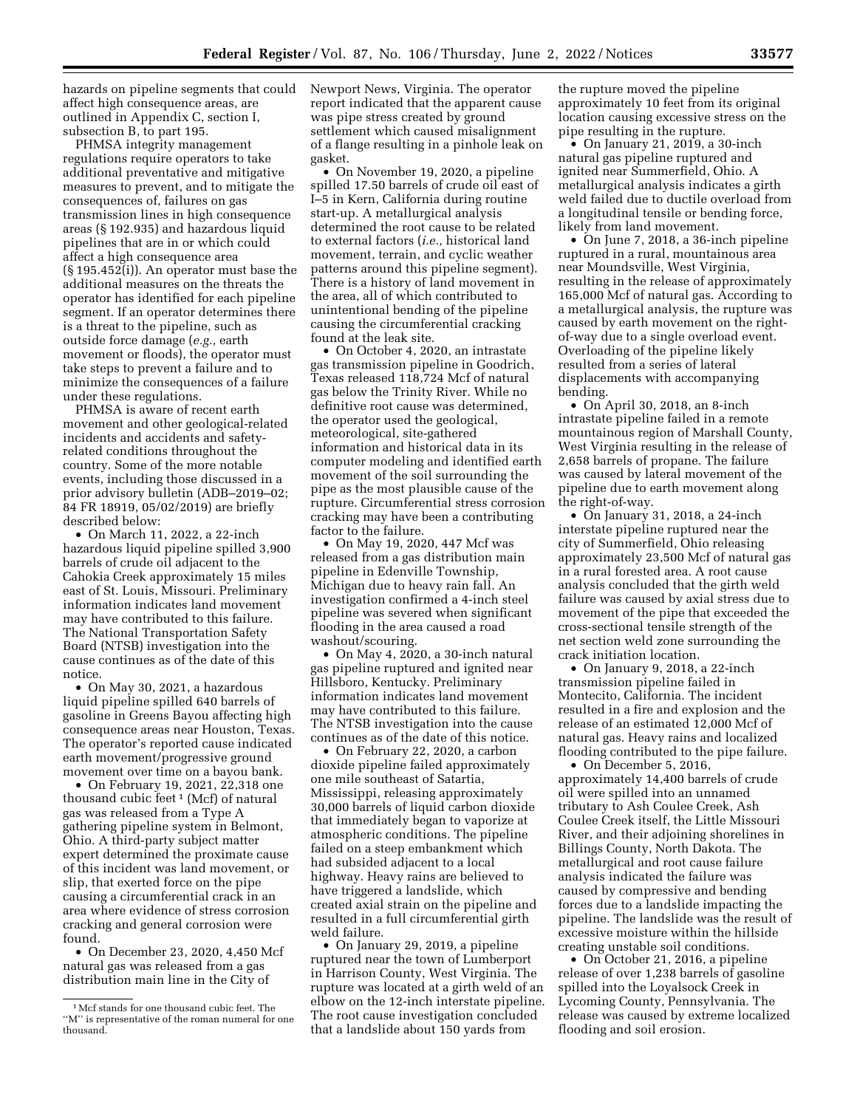hazards on pipeline segments that could affect high consequence areas, are outlined in Appendix C, section I, subsection B, to part 195.

PHMSA integrity management regulations require operators to take additional preventative and mitigative measures to prevent, and to mitigate the consequences of, failures on gas transmission lines in high consequence areas (§ 192.935) and hazardous liquid pipelines that are in or which could affect a high consequence area (§ 195.452(i)). An operator must base the additional measures on the threats the operator has identified for each pipeline segment. If an operator determines there is a threat to the pipeline, such as outside force damage (*e.g.,* earth movement or floods), the operator must take steps to prevent a failure and to minimize the consequences of a failure under these regulations.

PHMSA is aware of recent earth movement and other geological-related incidents and accidents and safetyrelated conditions throughout the country. Some of the more notable events, including those discussed in a prior advisory bulletin (ADB–2019–02; 84 FR 18919, 05/02/2019) are briefly described below:

• On March 11, 2022, a 22-inch hazardous liquid pipeline spilled 3,900 barrels of crude oil adjacent to the Cahokia Creek approximately 15 miles east of St. Louis, Missouri. Preliminary information indicates land movement may have contributed to this failure. The National Transportation Safety Board (NTSB) investigation into the cause continues as of the date of this notice.

• On May 30, 2021, a hazardous liquid pipeline spilled 640 barrels of gasoline in Greens Bayou affecting high consequence areas near Houston, Texas. The operator's reported cause indicated earth movement/progressive ground movement over time on a bayou bank.

• On February 19, 2021, 22,318 one thousand cubic feet 1 (Mcf) of natural gas was released from a Type A gathering pipeline system in Belmont, Ohio. A third-party subject matter expert determined the proximate cause of this incident was land movement, or slip, that exerted force on the pipe causing a circumferential crack in an area where evidence of stress corrosion cracking and general corrosion were found.

• On December 23, 2020, 4,450 Mcf natural gas was released from a gas distribution main line in the City of

Newport News, Virginia. The operator report indicated that the apparent cause was pipe stress created by ground settlement which caused misalignment of a flange resulting in a pinhole leak on gasket.

• On November 19, 2020, a pipeline spilled 17.50 barrels of crude oil east of I–5 in Kern, California during routine start-up. A metallurgical analysis determined the root cause to be related to external factors (*i.e.,* historical land movement, terrain, and cyclic weather patterns around this pipeline segment). There is a history of land movement in the area, all of which contributed to unintentional bending of the pipeline causing the circumferential cracking found at the leak site.

• On October 4, 2020, an intrastate gas transmission pipeline in Goodrich, Texas released 118,724 Mcf of natural gas below the Trinity River. While no definitive root cause was determined, the operator used the geological, meteorological, site-gathered information and historical data in its computer modeling and identified earth movement of the soil surrounding the pipe as the most plausible cause of the rupture. Circumferential stress corrosion cracking may have been a contributing factor to the failure.

• On May 19, 2020, 447 Mcf was released from a gas distribution main pipeline in Edenville Township, Michigan due to heavy rain fall. An investigation confirmed a 4-inch steel pipeline was severed when significant flooding in the area caused a road washout/scouring.

• On May 4,  $2020$ , a 30-inch natural gas pipeline ruptured and ignited near Hillsboro, Kentucky. Preliminary information indicates land movement may have contributed to this failure. The NTSB investigation into the cause continues as of the date of this notice.

• On February 22, 2020, a carbon dioxide pipeline failed approximately one mile southeast of Satartia, Mississippi, releasing approximately 30,000 barrels of liquid carbon dioxide that immediately began to vaporize at atmospheric conditions. The pipeline failed on a steep embankment which had subsided adjacent to a local highway. Heavy rains are believed to have triggered a landslide, which created axial strain on the pipeline and resulted in a full circumferential girth weld failure.

• On January 29, 2019, a pipeline ruptured near the town of Lumberport in Harrison County, West Virginia. The rupture was located at a girth weld of an elbow on the 12-inch interstate pipeline. The root cause investigation concluded that a landslide about 150 yards from

the rupture moved the pipeline approximately 10 feet from its original location causing excessive stress on the pipe resulting in the rupture.

 $\bullet$  On January 21, 2019, a 30-inch natural gas pipeline ruptured and ignited near Summerfield, Ohio. A metallurgical analysis indicates a girth weld failed due to ductile overload from a longitudinal tensile or bending force, likely from land movement.

• On June 7, 2018, a 36-inch pipeline ruptured in a rural, mountainous area near Moundsville, West Virginia, resulting in the release of approximately 165,000 Mcf of natural gas. According to a metallurgical analysis, the rupture was caused by earth movement on the rightof-way due to a single overload event. Overloading of the pipeline likely resulted from a series of lateral displacements with accompanying bending.

• On April 30, 2018, an 8-inch intrastate pipeline failed in a remote mountainous region of Marshall County, West Virginia resulting in the release of 2,658 barrels of propane. The failure was caused by lateral movement of the pipeline due to earth movement along the right-of-way.

• On January 31, 2018, a 24-inch interstate pipeline ruptured near the city of Summerfield, Ohio releasing approximately 23,500 Mcf of natural gas in a rural forested area. A root cause analysis concluded that the girth weld failure was caused by axial stress due to movement of the pipe that exceeded the cross-sectional tensile strength of the net section weld zone surrounding the crack initiation location.

• On January 9, 2018, a 22-inch transmission pipeline failed in Montecito, California. The incident resulted in a fire and explosion and the release of an estimated 12,000 Mcf of natural gas. Heavy rains and localized flooding contributed to the pipe failure.

• On December 5, 2016, approximately 14,400 barrels of crude oil were spilled into an unnamed tributary to Ash Coulee Creek, Ash Coulee Creek itself, the Little Missouri River, and their adjoining shorelines in Billings County, North Dakota. The metallurgical and root cause failure analysis indicated the failure was caused by compressive and bending forces due to a landslide impacting the pipeline. The landslide was the result of excessive moisture within the hillside creating unstable soil conditions.

• On October 21, 2016, a pipeline release of over 1,238 barrels of gasoline spilled into the Loyalsock Creek in Lycoming County, Pennsylvania. The release was caused by extreme localized flooding and soil erosion.

<sup>1</sup>Mcf stands for one thousand cubic feet. The ''M'' is representative of the roman numeral for one thousand.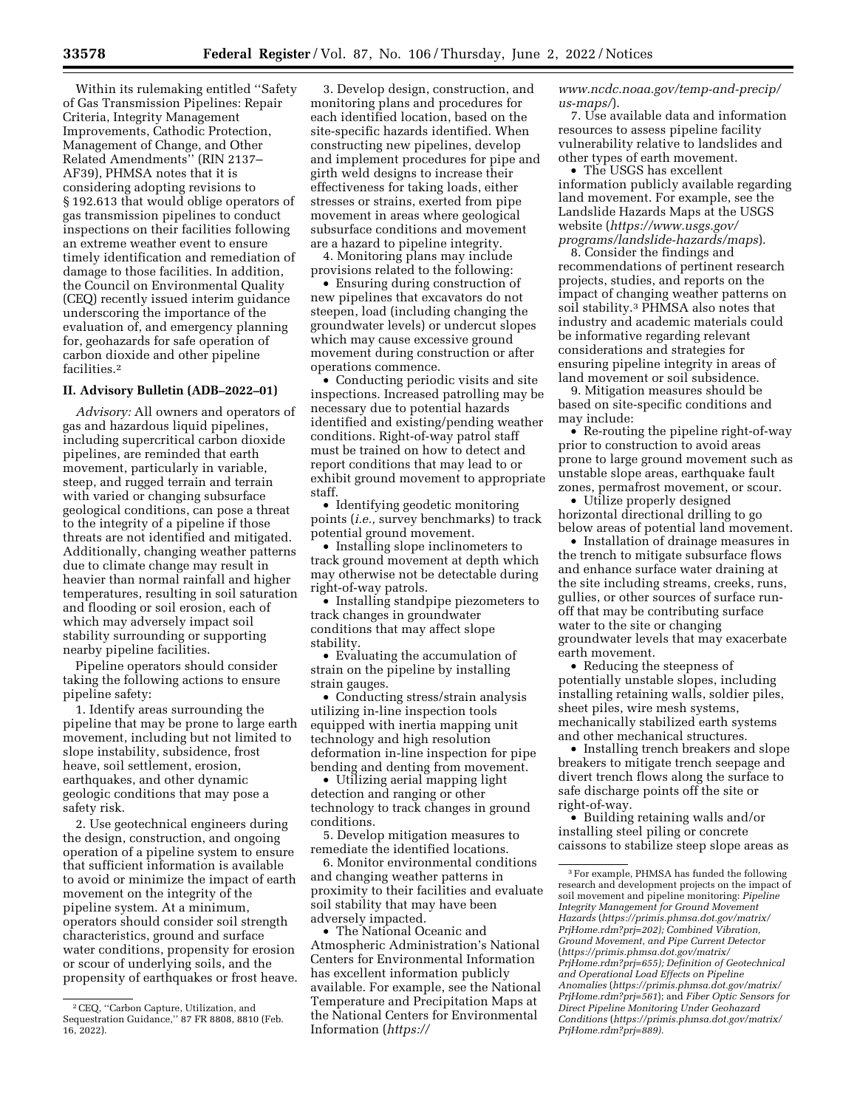Within its rulemaking entitled ''Safety of Gas Transmission Pipelines: Repair Criteria, Integrity Management Improvements, Cathodic Protection, Management of Change, and Other Related Amendments'' (RIN 2137– AF39), PHMSA notes that it is considering adopting revisions to § 192.613 that would oblige operators of gas transmission pipelines to conduct inspections on their facilities following an extreme weather event to ensure timely identification and remediation of damage to those facilities. In addition, the Council on Environmental Quality (CEQ) recently issued interim guidance underscoring the importance of the evaluation of, and emergency planning for, geohazards for safe operation of carbon dioxide and other pipeline facilities.2

### **II. Advisory Bulletin (ADB–2022–01)**

*Advisory:* All owners and operators of gas and hazardous liquid pipelines, including supercritical carbon dioxide pipelines, are reminded that earth movement, particularly in variable, steep, and rugged terrain and terrain with varied or changing subsurface geological conditions, can pose a threat to the integrity of a pipeline if those threats are not identified and mitigated. Additionally, changing weather patterns due to climate change may result in heavier than normal rainfall and higher temperatures, resulting in soil saturation and flooding or soil erosion, each of which may adversely impact soil stability surrounding or supporting nearby pipeline facilities.

Pipeline operators should consider taking the following actions to ensure pipeline safety:

1. Identify areas surrounding the pipeline that may be prone to large earth movement, including but not limited to slope instability, subsidence, frost heave, soil settlement, erosion, earthquakes, and other dynamic geologic conditions that may pose a safety risk.

2. Use geotechnical engineers during the design, construction, and ongoing operation of a pipeline system to ensure that sufficient information is available to avoid or minimize the impact of earth movement on the integrity of the pipeline system. At a minimum, operators should consider soil strength characteristics, ground and surface water conditions, propensity for erosion or scour of underlying soils, and the propensity of earthquakes or frost heave.

3. Develop design, construction, and monitoring plans and procedures for each identified location, based on the site-specific hazards identified. When constructing new pipelines, develop and implement procedures for pipe and girth weld designs to increase their effectiveness for taking loads, either stresses or strains, exerted from pipe movement in areas where geological subsurface conditions and movement are a hazard to pipeline integrity.

4. Monitoring plans may include provisions related to the following:

• Ensuring during construction of new pipelines that excavators do not steepen, load (including changing the groundwater levels) or undercut slopes which may cause excessive ground movement during construction or after operations commence.

• Conducting periodic visits and site inspections. Increased patrolling may be necessary due to potential hazards identified and existing/pending weather conditions. Right-of-way patrol staff must be trained on how to detect and report conditions that may lead to or exhibit ground movement to appropriate staff.

• Identifying geodetic monitoring points (*i.e.,* survey benchmarks) to track potential ground movement.

• Installing slope inclinometers to track ground movement at depth which may otherwise not be detectable during right-of-way patrols.

• Installing standpipe piezometers to track changes in groundwater conditions that may affect slope stability.

• Evaluating the accumulation of strain on the pipeline by installing strain gauges.

• Conducting stress/strain analysis utilizing in-line inspection tools equipped with inertia mapping unit technology and high resolution deformation in-line inspection for pipe bending and denting from movement.

• Utilizing aerial mapping light detection and ranging or other technology to track changes in ground conditions.

5. Develop mitigation measures to remediate the identified locations.

6. Monitor environmental conditions and changing weather patterns in proximity to their facilities and evaluate soil stability that may have been adversely impacted.

• The National Oceanic and Atmospheric Administration's National Centers for Environmental Information has excellent information publicly available. For example, see the National Temperature and Precipitation Maps at the National Centers for Environmental Information (*[https://](https://www.ncdc.noaa.gov/temp-and-precip/us-maps/)*

*[www.ncdc.noaa.gov/temp-and-precip/](https://www.ncdc.noaa.gov/temp-and-precip/us-maps/) [us-maps/](https://www.ncdc.noaa.gov/temp-and-precip/us-maps/)*).

7. Use available data and information resources to assess pipeline facility vulnerability relative to landslides and other types of earth movement.

• The USGS has excellent information publicly available regarding land movement. For example, see the Landslide Hazards Maps at the USGS website (*[https://www.usgs.gov/](https://www.usgs.gov/programs/landslide-hazards/maps)  [programs/landslide-hazards/maps](https://www.usgs.gov/programs/landslide-hazards/maps)*).

8. Consider the findings and recommendations of pertinent research projects, studies, and reports on the impact of changing weather patterns on soil stability.3 PHMSA also notes that industry and academic materials could be informative regarding relevant considerations and strategies for ensuring pipeline integrity in areas of land movement or soil subsidence.

9. Mitigation measures should be based on site-specific conditions and may include:

• Re-routing the pipeline right-of-way prior to construction to avoid areas prone to large ground movement such as unstable slope areas, earthquake fault zones, permafrost movement, or scour.

• Utilize properly designed horizontal directional drilling to go below areas of potential land movement.

• Installation of drainage measures in the trench to mitigate subsurface flows and enhance surface water draining at the site including streams, creeks, runs, gullies, or other sources of surface runoff that may be contributing surface water to the site or changing groundwater levels that may exacerbate earth movement.

• Reducing the steepness of potentially unstable slopes, including installing retaining walls, soldier piles, sheet piles, wire mesh systems, mechanically stabilized earth systems and other mechanical structures.

• Installing trench breakers and slope breakers to mitigate trench seepage and divert trench flows along the surface to safe discharge points off the site or right-of-way.

• Building retaining walls and/or installing steel piling or concrete caissons to stabilize steep slope areas as

<sup>2</sup>CEQ, ''Carbon Capture, Utilization, and Sequestration Guidance,'' 87 FR 8808, 8810 (Feb. 16, 2022).

<sup>3</sup>For example, PHMSA has funded the following research and development projects on the impact of soil movement and pipeline monitoring: *Pipeline Integrity Management for Ground Movement Hazards* (*[https://primis.phmsa.dot.gov/matrix/](https://primis.phmsa.dot.gov/matrix/PrjHome.rdm?prj=202) [PrjHome.rdm?prj=202\);](https://primis.phmsa.dot.gov/matrix/PrjHome.rdm?prj=202) Combined Vibration, Ground Movement, and Pipe Current Detector*  (*[https://primis.phmsa.dot.gov/matrix/](https://primis.phmsa.dot.gov/matrix/PrjHome.rdm?prj=655)  [PrjHome.rdm?prj=655\)](https://primis.phmsa.dot.gov/matrix/PrjHome.rdm?prj=655); Definition of Geotechnical and Operational Load Effects on Pipeline Anomalies* (*[https://primis.phmsa.dot.gov/matrix/](https://primis.phmsa.dot.gov/matrix/PrjHome.rdm?prj=561) [PrjHome.rdm?prj=561](https://primis.phmsa.dot.gov/matrix/PrjHome.rdm?prj=561)*); and *Fiber Optic Sensors for Direct Pipeline Monitoring Under Geohazard Conditions* (*[https://primis.phmsa.dot.gov/matrix/](https://primis.phmsa.dot.gov/matrix/PrjHome.rdm?prj=889)  [PrjHome.rdm?prj=889\).](https://primis.phmsa.dot.gov/matrix/PrjHome.rdm?prj=889)*